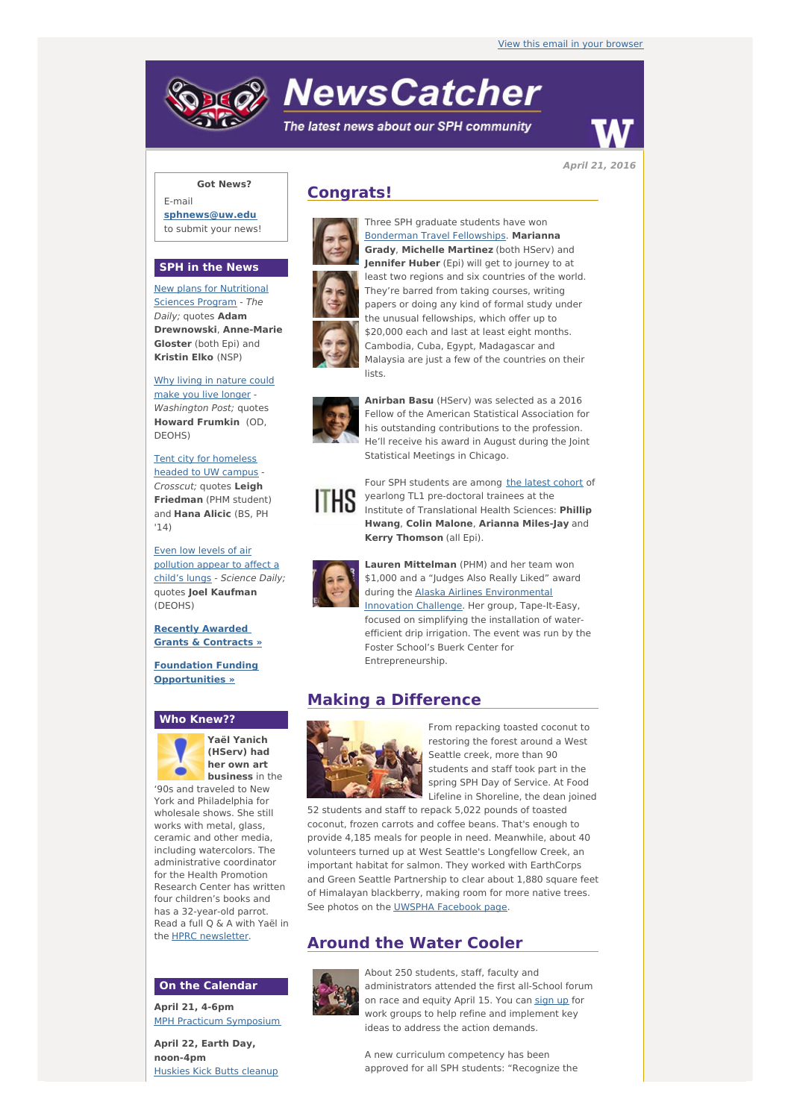# **NewsCatcher**

The latest news about our SPH community



**April 21, 2016**

### **Got News?**

E-mail **[sphnews@uw.edu](mailto:sphnews@uw.edu)** to submit your news!

#### **SPH in the News**

New plans for [Nutritional](http://engage.washington.edu/site/R?i=5a-DDfbs9TAj__va9HSsVg) Sciences Program - The Daily; quotes **Adam Drewnowski**, **Anne-Marie Gloster** (both Epi) and **Kristin Elko** (NSP)

Why living in [nature](http://engage.washington.edu/site/R?i=x6h9JGOpWxzYs12PVaeK9Q) could make you live longer - Washington Post: quotes **Howard Frumkin** (OD, DEOHS)

Tent city for [homeless](http://engage.washington.edu/site/R?i=tmH0COF2242-hooYnb_Ssw) headed to UW campus - Crosscut; quotes **Leigh Friedman** (PHM student) and **Hana Alicic** (BS, PH '14)

Even low levels of air [pollution](http://engage.washington.edu/site/R?i=nlLbIWY9d8HXZfbB-mhM_g) appear to affect a child's lungs - Science Daily; quotes **Joel Kaufman** (DEOHS)

**Recently Awarded Grants & [Contracts](http://engage.washington.edu/site/R?i=h8T9w6e59D73GCfVkunwFw) »**

**Foundation Funding [Opportunities](http://engage.washington.edu/site/R?i=cYc1BIBSmMsKAc7ICJC7Tw) »**

#### **Who Knew??**



**Yaël Yanich (HServ) had her own art business** in the

'90s and traveled to New York and Philadelphia for wholesale shows. She still works with metal, glass ceramic and other media, including watercolors. The administrative coordinator for the Health Promotion Research Center has written four children's books and has a 32-year-old parrot. Read a full Q & A with Yaël in the **HPRC** [newsletter.](http://engage.washington.edu/site/R?i=l9IfE_djpGWkPimIxE1EpA)

#### **On the Calendar**

**April 21, 4-6pm** MPH Practicum [Symposium](http://engage.washington.edu/site/R?i=tmexCSAIDLLvjGoPnMWccg)

**April 22, Earth Day, noon-4pm** [Huskies](http://engage.washington.edu/site/R?i=qnNeAVb1jz6cgvU6jLlu6w) Kick Butts cleanup

## **Congrats!**



[Bonderman](http://engage.washington.edu/site/R?i=W4ElMDJoiP4B3UMaVkZteQ) Travel Fellowships. **Marianna Grady**, **Michelle Martinez** (both HServ) and **Jennifer Huber** (Epi) will get to journey to at least two regions and six countries of the world. They're barred from taking courses, writing papers or doing any kind of formal study under the unusual fellowships, which offer up to \$20,000 each and last at least eight months. Cambodia, Cuba, Egypt, Madagascar and Malaysia are just a few of the countries on their lists.

Three SPH graduate students have won



**Anirban Basu** (HServ) was selected as a 2016 Fellow of the American Statistical Association for his outstanding contributions to the profession. He'll receive his award in August during the Joint Statistical Meetings in Chicago.



Four SPH students are among the latest [cohort](http://engage.washington.edu/site/R?i=jyB2kCheFHHTsY3vGLJqoA) of yearlong TL1 pre-doctoral trainees at the Institute of Translational Health Sciences: **Phillip Hwang**, **Colin Malone**, **Arianna Miles-Jay** and **Kerry Thomson** (all Epi).



**Lauren Mittelman** (PHM) and her team won \$1,000 and a "Judges Also Really Liked" award during the Alaska Airlines [Environmental](http://engage.washington.edu/site/R?i=raznWuaPNQtRNRTr64Ew_A) Innovation Challenge. Her group, Tape-It-Easy, focused on simplifying the installation of waterefficient drip irrigation. The event was run by the Foster School's Buerk Center for Entrepreneurship.

## **Making a Difference**



From repacking toasted coconut to restoring the forest around a West Seattle creek, more than 90 students and staff took part in the spring SPH Day of Service. At Food Lifeline in Shoreline, the dean joined

52 students and staff to repack 5,022 pounds of toasted coconut, frozen carrots and coffee beans. That's enough to provide 4,185 meals for people in need. Meanwhile, about 40 volunteers turned up at West Seattle's Longfellow Creek, an important habitat for salmon. They worked with EarthCorps and Green Seattle Partnership to clear about 1,880 square feet of Himalayan blackberry, making room for more native trees. See photos on the UWSPHA [Facebook](http://engage.washington.edu/site/R?i=XaxvbEWF0ihwJg8D7Zsy0w) page.

## **Around the Water Cooler**



About 250 students, staff, faculty and administrators attended the first all-School forum on race and equity April 15. You can [sign](http://engage.washington.edu/site/R?i=T-UXaisuW7cCoE5hBbLANw) up for work groups to help refine and implement key ideas to address the action demands.

A new curriculum competency has been approved for all SPH students: "Recognize the